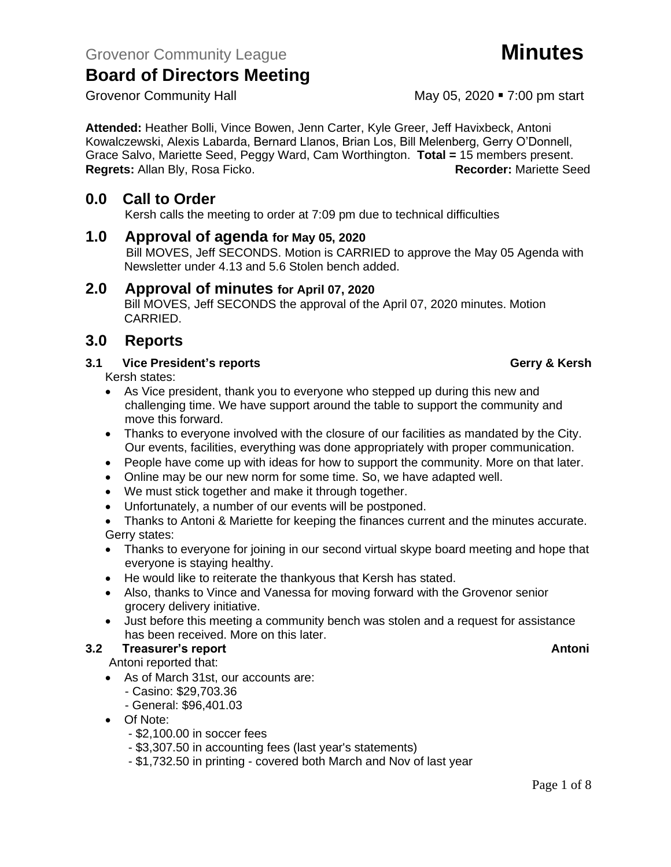**Attended:** Heather Bolli, Vince Bowen, Jenn Carter, Kyle Greer, Jeff Havixbeck, Antoni Kowalczewski, Alexis Labarda, Bernard Llanos, Brian Los, Bill Melenberg, Gerry O'Donnell, Grace Salvo, Mariette Seed, Peggy Ward, Cam Worthington. **Total =** 15 members present. **Regrets: Allan Bly, Rosa Ficko.** 

### **0.0 Call to Order**

Kersh calls the meeting to order at 7:09 pm due to technical difficulties

#### **1.0 Approval of agenda for May 05, 2020**

Bill MOVES, Jeff SECONDS. Motion is CARRIED to approve the May 05 Agenda with Newsletter under 4.13 and 5.6 Stolen bench added.

### **2.0 Approval of minutes for April 07, 2020**

Bill MOVES, Jeff SECONDS the approval of the April 07, 2020 minutes. Motion CARRIED.

### **3.0 Reports**

#### **3.1 Vice President's reports Gerry & Kersh**

Kersh states:

- As Vice president, thank you to everyone who stepped up during this new and challenging time. We have support around the table to support the community and move this forward.
- Thanks to everyone involved with the closure of our facilities as mandated by the City. Our events, facilities, everything was done appropriately with proper communication.
- People have come up with ideas for how to support the community. More on that later.
- Online may be our new norm for some time. So, we have adapted well.
- We must stick together and make it through together.
- Unfortunately, a number of our events will be postponed.

• Thanks to Antoni & Mariette for keeping the finances current and the minutes accurate. Gerry states:

- Thanks to everyone for joining in our second virtual skype board meeting and hope that everyone is staying healthy.
- He would like to reiterate the thankyous that Kersh has stated.
- Also, thanks to Vince and Vanessa for moving forward with the Grovenor senior grocery delivery initiative.
- Just before this meeting a community bench was stolen and a request for assistance has been received. More on this later.

### **3.2 Freasurer's report Antonic Structure Antonic Structure Antonic Antonic Antoni**

Antoni reported that:

- As of March 31st, our accounts are:
	- Casino: \$29,703.36
	- General: \$96,401.03
- Of Note:
	- \$2,100.00 in soccer fees
	- \$3,307.50 in accounting fees (last year's statements)
	- \$1,732.50 in printing covered both March and Nov of last year

### Grovenor Community Hall May 05, 2020 • 7:00 pm start

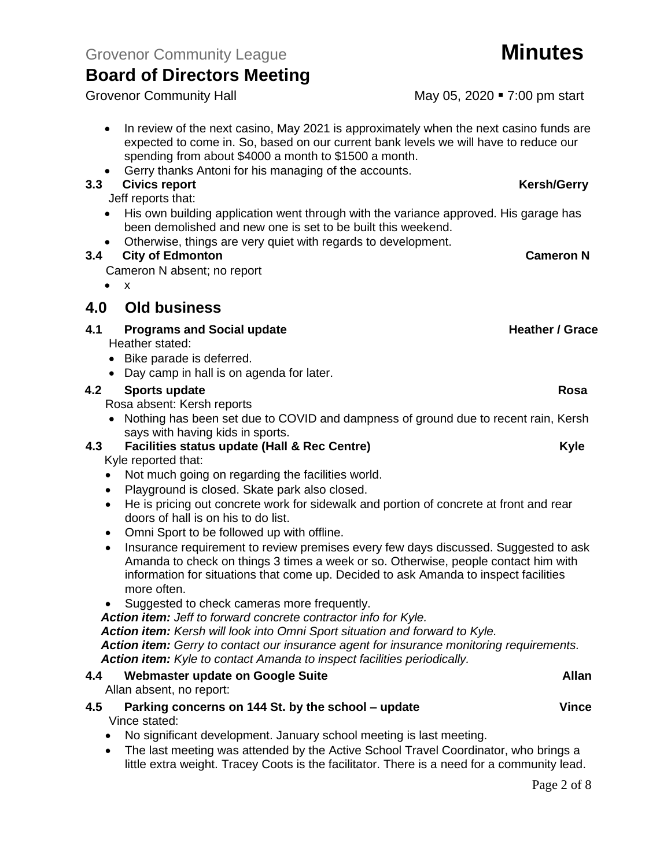Grovenor Community League **Minutes**

## **Board of Directors Meeting**

- In review of the next casino, May 2021 is approximately when the next casino funds are expected to come in. So, based on our current bank levels we will have to reduce our spending from about \$4000 a month to \$1500 a month.
- Gerry thanks Antoni for his managing of the accounts.

#### **3.3** Civics report **Kersh/Gerry**

Jeff reports that:

- His own building application went through with the variance approved. His garage has been demolished and new one is set to be built this weekend.
- Otherwise, things are very quiet with regards to development.

#### **3.4 City of Edmonton Cameron N**

Cameron N absent; no report

• x

### **4.0 Old business**

#### **4.1 Programs and Social update <b>Accord 2018 Heather / Grace Heather / Grace**

Heather stated:

- Bike parade is deferred.
- Day camp in hall is on agenda for later.

#### **4.2 Sports update Rosa**

Rosa absent: Kersh reports

• Nothing has been set due to COVID and dampness of ground due to recent rain, Kersh says with having kids in sports.

#### **4.3 Facilities status update (Hall & Rec Centre) Example 2.4 <b>EXECUTE:** Facilities status update (Hall & Rec Centre) Kyle reported that:

- Not much going on regarding the facilities world.
- Playground is closed. Skate park also closed.
- He is pricing out concrete work for sidewalk and portion of concrete at front and rear doors of hall is on his to do list.
- Omni Sport to be followed up with offline.
- Insurance requirement to review premises every few days discussed. Suggested to ask Amanda to check on things 3 times a week or so. Otherwise, people contact him with information for situations that come up. Decided to ask Amanda to inspect facilities more often.
- Suggested to check cameras more frequently.

*Action item: Jeff to forward concrete contractor info for Kyle.*

*Action item: Kersh will look into Omni Sport situation and forward to Kyle.*

*Action item: Gerry to contact our insurance agent for insurance monitoring requirements. Action item: Kyle to contact Amanda to inspect facilities periodically.*

#### **4.4 Webmaster update on Google Suite Allan**

Allan absent, no report:

#### **4.5 Parking concerns on 144 St. by the school – update Vince** Vince stated:

- No significant development. January school meeting is last meeting.
- The last meeting was attended by the Active School Travel Coordinator, who brings a little extra weight. Tracey Coots is the facilitator. There is a need for a community lead.

Grovenor Community Hall May 05, 2020 • 7:00 pm start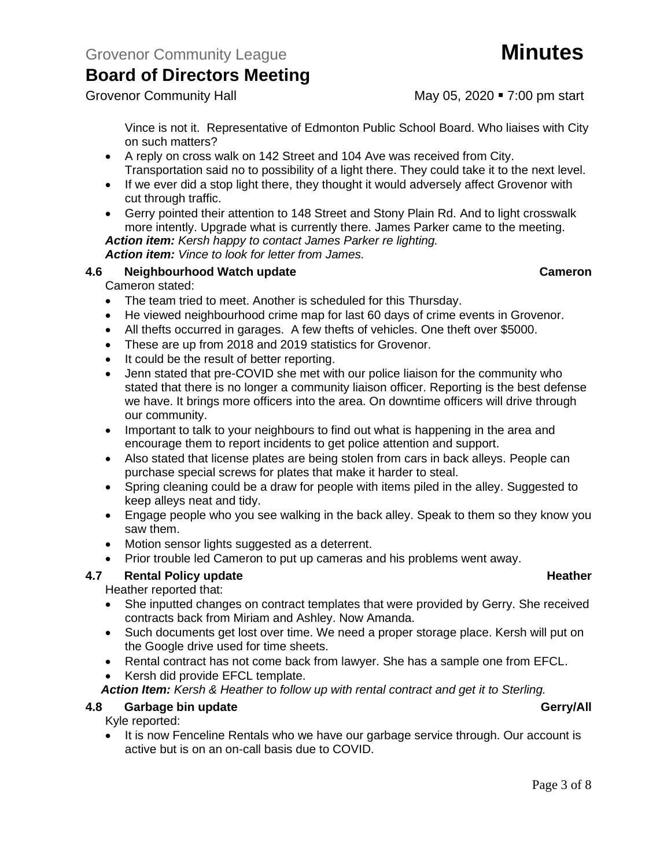Grovenor Community Hall May 05, 2020 • 7:00 pm start

Vince is not it. Representative of Edmonton Public School Board. Who liaises with City on such matters?

- A reply on cross walk on 142 Street and 104 Ave was received from City. Transportation said no to possibility of a light there. They could take it to the next level.
- If we ever did a stop light there, they thought it would adversely affect Grovenor with cut through traffic.
- Gerry pointed their attention to 148 Street and Stony Plain Rd. And to light crosswalk more intently. Upgrade what is currently there. James Parker came to the meeting. *Action item: Kersh happy to contact James Parker re lighting.*

*Action item: Vince to look for letter from James.*

### **4.6 Neighbourhood Watch update Cameron**

Cameron stated:

- The team tried to meet. Another is scheduled for this Thursday.
- He viewed neighbourhood crime map for last 60 days of crime events in Grovenor.
- All thefts occurred in garages. A few thefts of vehicles. One theft over \$5000.
- These are up from 2018 and 2019 statistics for Grovenor.
- It could be the result of better reporting.
- Jenn stated that pre-COVID she met with our police liaison for the community who stated that there is no longer a community liaison officer. Reporting is the best defense we have. It brings more officers into the area. On downtime officers will drive through our community.
- Important to talk to your neighbours to find out what is happening in the area and encourage them to report incidents to get police attention and support.
- Also stated that license plates are being stolen from cars in back alleys. People can purchase special screws for plates that make it harder to steal.
- Spring cleaning could be a draw for people with items piled in the alley. Suggested to keep alleys neat and tidy.
- Engage people who you see walking in the back alley. Speak to them so they know you saw them.
- Motion sensor lights suggested as a deterrent.
- Prior trouble led Cameron to put up cameras and his problems went away.

### **4.7 Rental Policy update Heather Heather Heather Heather**

### Heather reported that:

- She inputted changes on contract templates that were provided by Gerry. She received contracts back from Miriam and Ashley. Now Amanda.
- Such documents get lost over time. We need a proper storage place. Kersh will put on the Google drive used for time sheets.
- Rental contract has not come back from lawyer. She has a sample one from EFCL.
- Kersh did provide EFCL template.

*Action Item: Kersh & Heather to follow up with rental contract and get it to Sterling.*

### **4.8 Garbage bin update Gerry/All**

Kyle reported:

• It is now Fenceline Rentals who we have our garbage service through. Our account is active but is on an on-call basis due to COVID.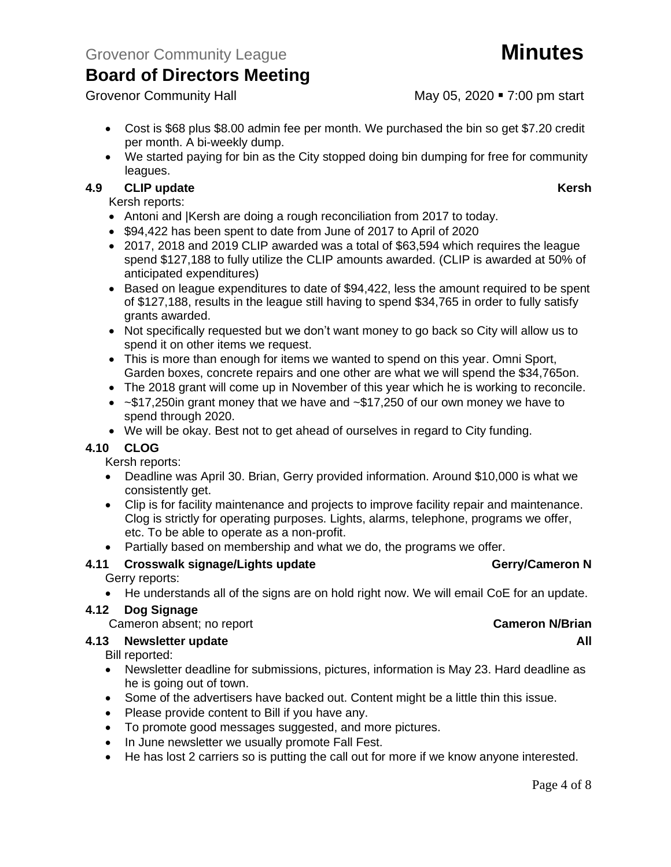Grovenor Community Hall May 05, 2020 • 7:00 pm start

- Cost is \$68 plus \$8.00 admin fee per month. We purchased the bin so get \$7.20 credit per month. A bi-weekly dump.
- We started paying for bin as the City stopped doing bin dumping for free for community leagues.

#### **4.9 CLIP update Kersh**

Kersh reports:

- Antoni and |Kersh are doing a rough reconciliation from 2017 to today.
- \$94,422 has been spent to date from June of 2017 to April of 2020
- 2017, 2018 and 2019 CLIP awarded was a total of \$63,594 which requires the league spend \$127,188 to fully utilize the CLIP amounts awarded. (CLIP is awarded at 50% of anticipated expenditures)
- Based on league expenditures to date of \$94,422, less the amount required to be spent of \$127,188, results in the league still having to spend \$34,765 in order to fully satisfy grants awarded.
- Not specifically requested but we don't want money to go back so City will allow us to spend it on other items we request.
- This is more than enough for items we wanted to spend on this year. Omni Sport, Garden boxes, concrete repairs and one other are what we will spend the \$34,765on.
- The 2018 grant will come up in November of this year which he is working to reconcile.
- $\sim$  \$17,250in grant money that we have and  $\sim$  \$17,250 of our own money we have to spend through 2020.
- We will be okay. Best not to get ahead of ourselves in regard to City funding.

#### **4.10 CLOG**

Kersh reports:

- Deadline was April 30. Brian, Gerry provided information. Around \$10,000 is what we consistently get.
- Clip is for facility maintenance and projects to improve facility repair and maintenance. Clog is strictly for operating purposes. Lights, alarms, telephone, programs we offer, etc. To be able to operate as a non-profit.
- Partially based on membership and what we do, the programs we offer.

#### **4.11 Crosswalk signage/Lights update Gerry/Cameron N**

Gerry reports:

• He understands all of the signs are on hold right now. We will email CoE for an update.

### **4.12 Dog Signage**

Cameron absent; no report **Cameron N/Brian**

#### **4.13 Newsletter update All**

Bill reported:

- Newsletter deadline for submissions, pictures, information is May 23. Hard deadline as he is going out of town.
- Some of the advertisers have backed out. Content might be a little thin this issue.
- Please provide content to Bill if you have any.
- To promote good messages suggested, and more pictures.
- In June newsletter we usually promote Fall Fest.
- He has lost 2 carriers so is putting the call out for more if we know anyone interested.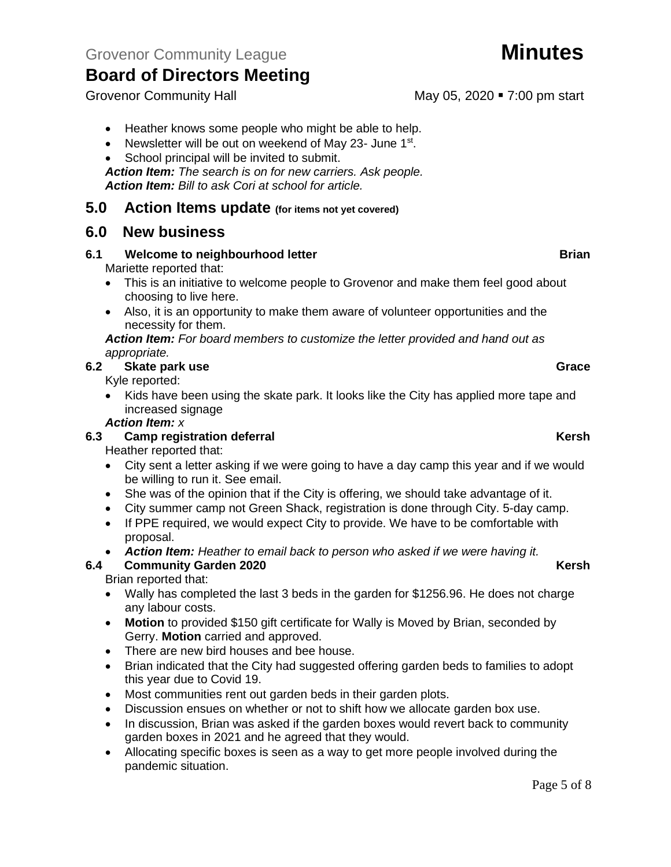- Newsletter will be out on weekend of May 23- June 1<sup>st</sup>.
- School principal will be invited to submit.

*Action Item: The search is on for new carriers. Ask people. Action Item: Bill to ask Cori at school for article.*

### **5.0 Action Items update (for items not yet covered)**

### **6.0 New business**

#### **6.1 Welcome to neighbourhood letter Brian Brian**

Mariette reported that:

- This is an initiative to welcome people to Grovenor and make them feel good about choosing to live here.
- Also, it is an opportunity to make them aware of volunteer opportunities and the necessity for them.

*Action Item: For board members to customize the letter provided and hand out as appropriate.*

#### **6.2 Skate park use Grace**

Kyle reported:

• Kids have been using the skate park. It looks like the City has applied more tape and increased signage

#### *Action Item: x*

#### **6.3 Camp registration deferral Kersh**

Heather reported that:

- City sent a letter asking if we were going to have a day camp this year and if we would be willing to run it. See email.
- She was of the opinion that if the City is offering, we should take advantage of it.
- City summer camp not Green Shack, registration is done through City. 5-day camp.
- If PPE required, we would expect City to provide. We have to be comfortable with proposal.
- *Action Item: Heather to email back to person who asked if we were having it.*

#### **6.4 Community Garden 2020 Kersh**

Brian reported that:

- Wally has completed the last 3 beds in the garden for \$1256.96. He does not charge any labour costs.
- **Motion** to provided \$150 gift certificate for Wally is Moved by Brian, seconded by Gerry. **Motion** carried and approved.
- There are new bird houses and bee house.
- Brian indicated that the City had suggested offering garden beds to families to adopt this year due to Covid 19.
- Most communities rent out garden beds in their garden plots.
- Discussion ensues on whether or not to shift how we allocate garden box use.
- In discussion, Brian was asked if the garden boxes would revert back to community garden boxes in 2021 and he agreed that they would.
- Allocating specific boxes is seen as a way to get more people involved during the pandemic situation.

Grovenor Community Hall May 05, 2020 • 7:00 pm start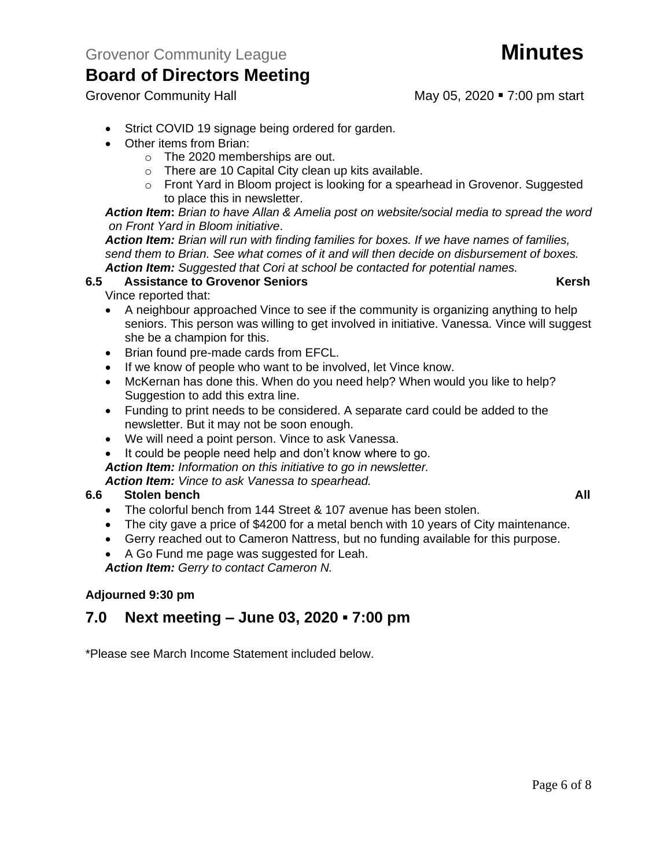Grovenor Community Hall May 05, 2020 • 7:00 pm start

- Strict COVID 19 signage being ordered for garden.
- Other items from Brian:
	- o The 2020 memberships are out.
	- o There are 10 Capital City clean up kits available.
	- $\circ$  Front Yard in Bloom project is looking for a spearhead in Grovenor. Suggested to place this in newsletter.

#### *Action Item***:** *Brian to have Allan & Amelia post on website/social media to spread the word on Front Yard in Bloom initiative*.

*Action Item: Brian will run with finding families for boxes. If we have names of families, send them to Brian. See what comes of it and will then decide on disbursement of boxes. Action Item: Suggested that Cori at school be contacted for potential names.* 

#### **6.5 Assistance to Grovenor Seniors Kersh**

Vince reported that:

- A neighbour approached Vince to see if the community is organizing anything to help seniors. This person was willing to get involved in initiative. Vanessa. Vince will suggest she be a champion for this.
- Brian found pre-made cards from EFCL.
- If we know of people who want to be involved, let Vince know.
- McKernan has done this. When do you need help? When would you like to help? Suggestion to add this extra line.
- Funding to print needs to be considered. A separate card could be added to the newsletter. But it may not be soon enough.
- We will need a point person. Vince to ask Vanessa.
- It could be people need help and don't know where to go.

*Action Item: Information on this initiative to go in newsletter.* 

*Action Item: Vince to ask Vanessa to spearhead.*

### **6.6 Stolen bench All**

- The colorful bench from 144 Street & 107 avenue has been stolen.
- The city gave a price of \$4200 for a metal bench with 10 years of City maintenance.
- Gerry reached out to Cameron Nattress, but no funding available for this purpose.
- A Go Fund me page was suggested for Leah.

*Action Item: Gerry to contact Cameron N.*

### **Adjourned 9:30 pm**

### **7.0 Next meeting – June 03, 2020 ▪ 7:00 pm**

\*Please see March Income Statement included below.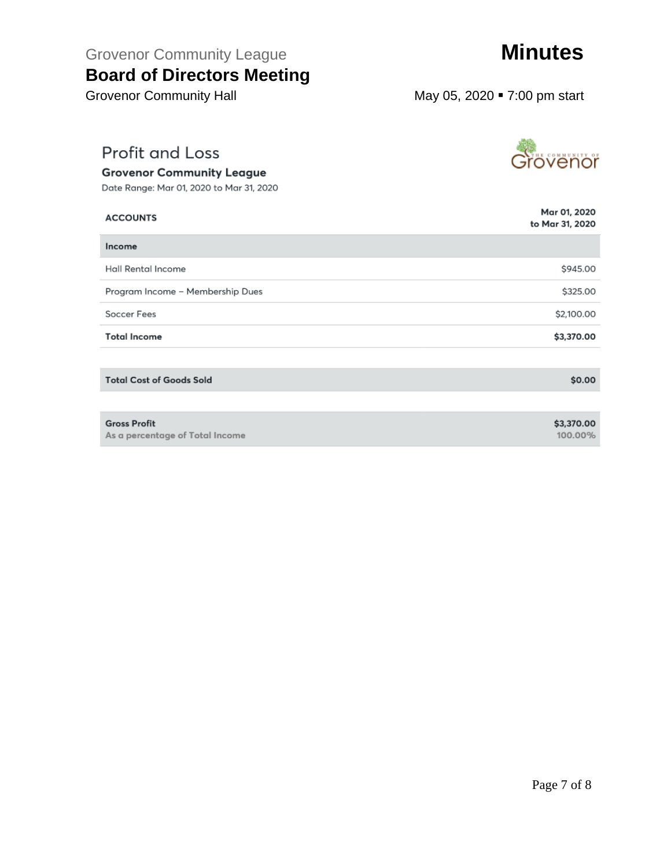# Grovenor Community League **Minutes**

## **Board of Directors Meeting**

Grovenor Community Hall May 05, 2020 • 7:00 pm start

## **Profit and Loss**

#### **Grovenor Community League**

Date Range: Mar 01, 2020 to Mar 31, 2020

| <b>ACCOUNTS</b>                                        | Mar 01, 2020<br>to Mar 31, 2020 |
|--------------------------------------------------------|---------------------------------|
| Income                                                 |                                 |
| Hall Rental Income                                     | \$945.00                        |
| Program Income - Membership Dues                       | \$325.00                        |
| Soccer Fees                                            | \$2,100.00                      |
| <b>Total Income</b>                                    | \$3,370.00                      |
|                                                        |                                 |
| <b>Total Cost of Goods Sold</b>                        | \$0.00                          |
|                                                        |                                 |
| <b>Gross Profit</b><br>As a percentage of Total Income | \$3,370.00<br>100.00%           |